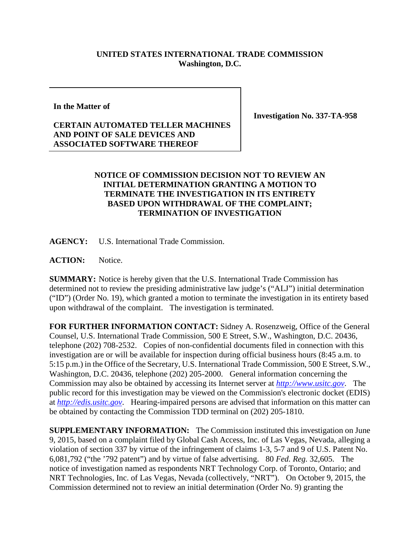## **UNITED STATES INTERNATIONAL TRADE COMMISSION Washington, D.C.**

**In the Matter of**

**Investigation No. 337-TA-958**

## **CERTAIN AUTOMATED TELLER MACHINES AND POINT OF SALE DEVICES AND ASSOCIATED SOFTWARE THEREOF**

## **NOTICE OF COMMISSION DECISION NOT TO REVIEW AN INITIAL DETERMINATION GRANTING A MOTION TO TERMINATE THE INVESTIGATION IN ITS ENTIRETY BASED UPON WITHDRAWAL OF THE COMPLAINT; TERMINATION OF INVESTIGATION**

**AGENCY:** U.S. International Trade Commission.

**ACTION:** Notice.

**SUMMARY:** Notice is hereby given that the U.S. International Trade Commission has determined not to review the presiding administrative law judge's ("ALJ") initial determination ("ID") (Order No. 19), which granted a motion to terminate the investigation in its entirety based upon withdrawal of the complaint. The investigation is terminated.

**FOR FURTHER INFORMATION CONTACT:** Sidney A. Rosenzweig, Office of the General Counsel, U.S. International Trade Commission, 500 E Street, S.W., Washington, D.C. 20436, telephone (202) 708-2532. Copies of non-confidential documents filed in connection with this investigation are or will be available for inspection during official business hours (8:45 a.m. to 5:15 p.m.) in the Office of the Secretary, U.S. International Trade Commission, 500 E Street, S.W., Washington, D.C. 20436, telephone (202) 205-2000. General information concerning the Commission may also be obtained by accessing its Internet server at *[http://www.usitc.gov](http://www.usitc.gov/)*. The public record for this investigation may be viewed on the Commission's electronic docket (EDIS) at *[http://edis.usitc.gov](http://edis.usitc.gov/)*. Hearing-impaired persons are advised that information on this matter can be obtained by contacting the Commission TDD terminal on (202) 205-1810.

**SUPPLEMENTARY INFORMATION:** The Commission instituted this investigation on June 9, 2015, based on a complaint filed by Global Cash Access, Inc. of Las Vegas, Nevada, alleging a violation of section 337 by virtue of the infringement of claims 1-3, 5-7 and 9 of U.S. Patent No. 6,081,792 ("the '792 patent") and by virtue of false advertising. 80 *Fed. Reg.* 32,605. The notice of investigation named as respondents NRT Technology Corp. of Toronto, Ontario; and NRT Technologies, Inc. of Las Vegas, Nevada (collectively, "NRT"). On October 9, 2015, the Commission determined not to review an initial determination (Order No. 9) granting the